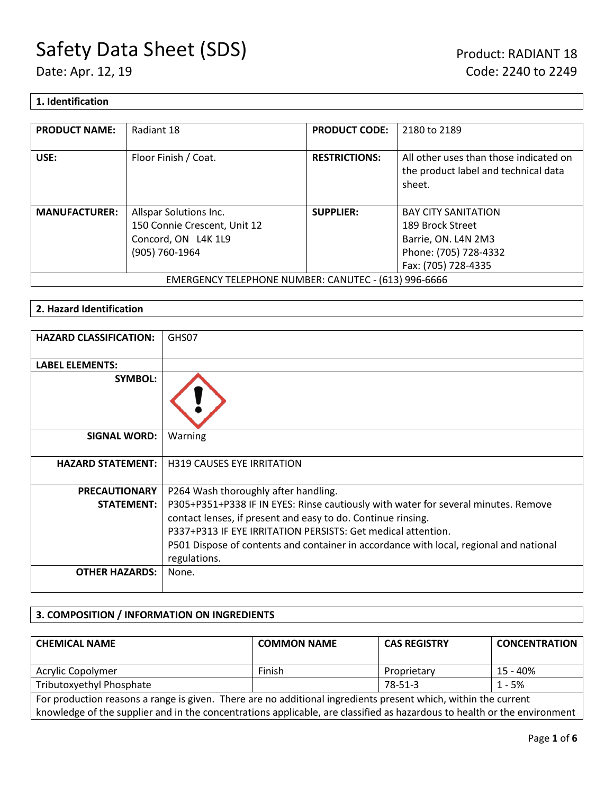# **1. Identification**

| <b>PRODUCT NAME:</b>                                 | Radiant 18                   | <b>PRODUCT CODE:</b> | 2180 to 2189                                                                             |
|------------------------------------------------------|------------------------------|----------------------|------------------------------------------------------------------------------------------|
| USE:                                                 | Floor Finish / Coat.         | <b>RESTRICTIONS:</b> | All other uses than those indicated on<br>the product label and technical data<br>sheet. |
| <b>MANUFACTURER:</b>                                 | Allspar Solutions Inc.       | <b>SUPPLIER:</b>     | <b>BAY CITY SANITATION</b>                                                               |
|                                                      | 150 Connie Crescent, Unit 12 |                      | 189 Brock Street                                                                         |
|                                                      | Concord, ON L4K 1L9          |                      | Barrie, ON. L4N 2M3                                                                      |
|                                                      | (905) 760-1964               |                      | Phone: (705) 728-4332                                                                    |
|                                                      |                              |                      | Fax: (705) 728-4335                                                                      |
| EMERGENCY TELEPHONE NUMBER: CANUTEC - (613) 996-6666 |                              |                      |                                                                                          |

# **2. Hazard Identification**

| <b>HAZARD CLASSIFICATION:</b> | GHS07                                                                                                  |
|-------------------------------|--------------------------------------------------------------------------------------------------------|
| <b>LABEL ELEMENTS:</b>        |                                                                                                        |
| <b>SYMBOL:</b>                |                                                                                                        |
| <b>SIGNAL WORD:</b>           | Warning                                                                                                |
| <b>HAZARD STATEMENT:</b>      | <b>H319 CAUSES EYE IRRITATION</b>                                                                      |
| <b>PRECAUTIONARY</b>          | P264 Wash thoroughly after handling.                                                                   |
| <b>STATEMENT:</b>             | P305+P351+P338 IF IN EYES: Rinse cautiously with water for several minutes. Remove                     |
|                               | contact lenses, if present and easy to do. Continue rinsing.                                           |
|                               | P337+P313 IF EYE IRRITATION PERSISTS: Get medical attention.                                           |
|                               | P501 Dispose of contents and container in accordance with local, regional and national<br>regulations. |
| <b>OTHER HAZARDS:</b>         | None.                                                                                                  |

# **3. COMPOSITION / INFORMATION ON INGREDIENTS**

| <b>CHEMICAL NAME</b>                                                                                                     | <b>COMMON NAME</b> | <b>CAS REGISTRY</b> | <b>CONCENTRATION</b> |
|--------------------------------------------------------------------------------------------------------------------------|--------------------|---------------------|----------------------|
| Acrylic Copolymer                                                                                                        | Finish             | Proprietary         | 15 - 40%             |
| Tributoxyethyl Phosphate                                                                                                 |                    | 78-51-3             | $1 - 5%$             |
| For production reasons a range is given. There are no additional ingredients present which, within the current           |                    |                     |                      |
| knowledge of the supplier and in the concentrations applicable, are classified as hazardous to health or the environment |                    |                     |                      |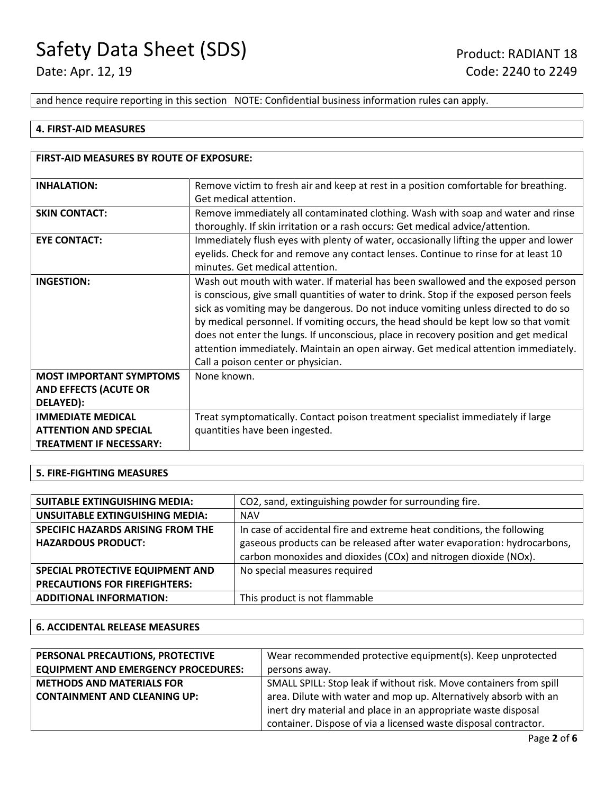and hence require reporting in this section NOTE: Confidential business information rules can apply.

#### **4. FIRST-AID MEASURES**

| FIRST-AID MEASURES BY ROUTE OF EXPOSURE:                                                   |                                                                                                                                                                                                                                                                                                                                                                                                                                                                                                                                                                              |  |
|--------------------------------------------------------------------------------------------|------------------------------------------------------------------------------------------------------------------------------------------------------------------------------------------------------------------------------------------------------------------------------------------------------------------------------------------------------------------------------------------------------------------------------------------------------------------------------------------------------------------------------------------------------------------------------|--|
| <b>INHALATION:</b>                                                                         | Remove victim to fresh air and keep at rest in a position comfortable for breathing.<br>Get medical attention.                                                                                                                                                                                                                                                                                                                                                                                                                                                               |  |
| <b>SKIN CONTACT:</b>                                                                       | Remove immediately all contaminated clothing. Wash with soap and water and rinse<br>thoroughly. If skin irritation or a rash occurs: Get medical advice/attention.                                                                                                                                                                                                                                                                                                                                                                                                           |  |
| <b>EYE CONTACT:</b>                                                                        | Immediately flush eyes with plenty of water, occasionally lifting the upper and lower<br>eyelids. Check for and remove any contact lenses. Continue to rinse for at least 10<br>minutes. Get medical attention.                                                                                                                                                                                                                                                                                                                                                              |  |
| <b>INGESTION:</b>                                                                          | Wash out mouth with water. If material has been swallowed and the exposed person<br>is conscious, give small quantities of water to drink. Stop if the exposed person feels<br>sick as vomiting may be dangerous. Do not induce vomiting unless directed to do so<br>by medical personnel. If vomiting occurs, the head should be kept low so that vomit<br>does not enter the lungs. If unconscious, place in recovery position and get medical<br>attention immediately. Maintain an open airway. Get medical attention immediately.<br>Call a poison center or physician. |  |
| <b>MOST IMPORTANT SYMPTOMS</b><br><b>AND EFFECTS (ACUTE OR</b><br>DELAYED):                | None known.                                                                                                                                                                                                                                                                                                                                                                                                                                                                                                                                                                  |  |
| <b>IMMEDIATE MEDICAL</b><br><b>ATTENTION AND SPECIAL</b><br><b>TREATMENT IF NECESSARY:</b> | Treat symptomatically. Contact poison treatment specialist immediately if large<br>quantities have been ingested.                                                                                                                                                                                                                                                                                                                                                                                                                                                            |  |

#### **5. FIRE-FIGHTING MEASURES**

| <b>SUITABLE EXTINGUISHING MEDIA:</b>     | CO2, sand, extinguishing powder for surrounding fire.                   |
|------------------------------------------|-------------------------------------------------------------------------|
| UNSUITABLE EXTINGUISHING MEDIA:          | <b>NAV</b>                                                              |
| <b>SPECIFIC HAZARDS ARISING FROM THE</b> | In case of accidental fire and extreme heat conditions, the following   |
| <b>HAZARDOUS PRODUCT:</b>                | gaseous products can be released after water evaporation: hydrocarbons, |
|                                          | carbon monoxides and dioxides (COx) and nitrogen dioxide (NOx).         |
| SPECIAL PROTECTIVE EQUIPMENT AND         | No special measures required                                            |
| <b>PRECAUTIONS FOR FIREFIGHTERS:</b>     |                                                                         |
| <b>ADDITIONAL INFORMATION:</b>           | This product is not flammable                                           |
|                                          |                                                                         |

### **6. ACCIDENTAL RELEASE MEASURES**

| PERSONAL PRECAUTIONS, PROTECTIVE           | Wear recommended protective equipment(s). Keep unprotected         |
|--------------------------------------------|--------------------------------------------------------------------|
| <b>EQUIPMENT AND EMERGENCY PROCEDURES:</b> | persons away.                                                      |
| <b>METHODS AND MATERIALS FOR</b>           | SMALL SPILL: Stop leak if without risk. Move containers from spill |
| <b>CONTAINMENT AND CLEANING UP:</b>        | area. Dilute with water and mop up. Alternatively absorb with an   |
|                                            | inert dry material and place in an appropriate waste disposal      |
|                                            | container. Dispose of via a licensed waste disposal contractor.    |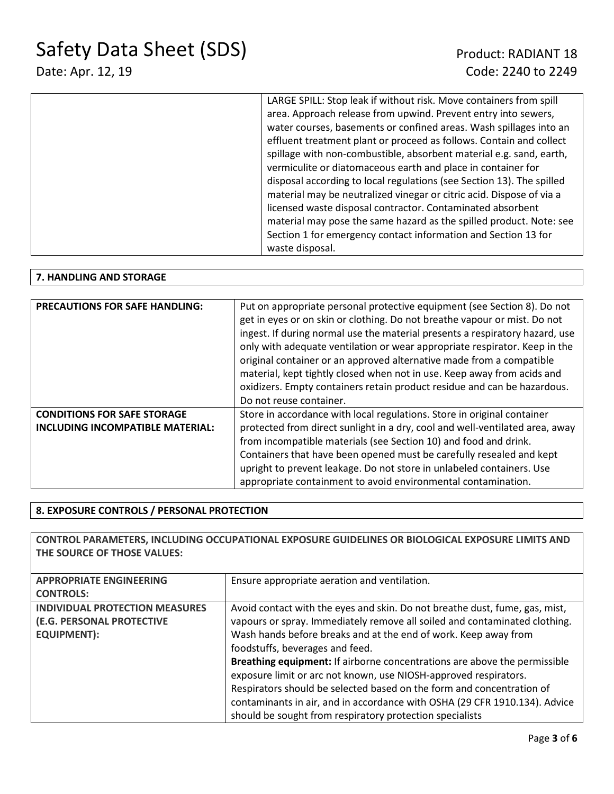| LARGE SPILL: Stop leak if without risk. Move containers from spill    |
|-----------------------------------------------------------------------|
| area. Approach release from upwind. Prevent entry into sewers,        |
| water courses, basements or confined areas. Wash spillages into an    |
| effluent treatment plant or proceed as follows. Contain and collect   |
| spillage with non-combustible, absorbent material e.g. sand, earth,   |
| vermiculite or diatomaceous earth and place in container for          |
| disposal according to local regulations (see Section 13). The spilled |
| material may be neutralized vinegar or citric acid. Dispose of via a  |
| licensed waste disposal contractor. Contaminated absorbent            |
| material may pose the same hazard as the spilled product. Note: see   |
| Section 1 for emergency contact information and Section 13 for        |
| waste disposal.                                                       |
|                                                                       |

### **7. HANDLING AND STORAGE**

| <b>PRECAUTIONS FOR SAFE HANDLING:</b>   | Put on appropriate personal protective equipment (see Section 8). Do not     |
|-----------------------------------------|------------------------------------------------------------------------------|
|                                         | get in eyes or on skin or clothing. Do not breathe vapour or mist. Do not    |
|                                         | ingest. If during normal use the material presents a respiratory hazard, use |
|                                         | only with adequate ventilation or wear appropriate respirator. Keep in the   |
|                                         | original container or an approved alternative made from a compatible         |
|                                         | material, kept tightly closed when not in use. Keep away from acids and      |
|                                         | oxidizers. Empty containers retain product residue and can be hazardous.     |
|                                         | Do not reuse container.                                                      |
| <b>CONDITIONS FOR SAFE STORAGE</b>      | Store in accordance with local regulations. Store in original container      |
| <b>INCLUDING INCOMPATIBLE MATERIAL:</b> | protected from direct sunlight in a dry, cool and well-ventilated area, away |
|                                         | from incompatible materials (see Section 10) and food and drink.             |
|                                         | Containers that have been opened must be carefully resealed and kept         |
|                                         | upright to prevent leakage. Do not store in unlabeled containers. Use        |
|                                         | appropriate containment to avoid environmental contamination.                |

### **8. EXPOSURE CONTROLS / PERSONAL PROTECTION**

**CONTROL PARAMETERS, INCLUDING OCCUPATIONAL EXPOSURE GUIDELINES OR BIOLOGICAL EXPOSURE LIMITS AND THE SOURCE OF THOSE VALUES: APPROPRIATE ENGINEERING CONTROLS:** Ensure appropriate aeration and ventilation. **INDIVIDUAL PROTECTION MEASURES (E.G. PERSONAL PROTECTIVE EQUIPMENT):** Avoid contact with the eyes and skin. Do not breathe dust, fume, gas, mist, vapours or spray. Immediately remove all soiled and contaminated clothing. Wash hands before breaks and at the end of work. Keep away from foodstuffs, beverages and feed. **Breathing equipment:** If airborne concentrations are above the permissible exposure limit or arc not known, use NIOSH-approved respirators. Respirators should be selected based on the form and concentration of contaminants in air, and in accordance with OSHA (29 CFR 1910.134). Advice should be sought from respiratory protection specialists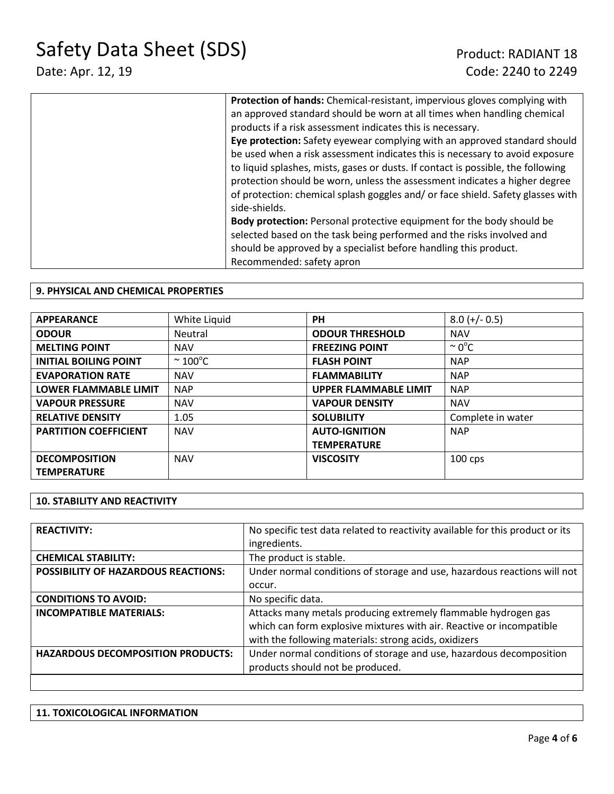| Protection of hands: Chemical-resistant, impervious gloves complying with        |
|----------------------------------------------------------------------------------|
| an approved standard should be worn at all times when handling chemical          |
| products if a risk assessment indicates this is necessary.                       |
| Eye protection: Safety eyewear complying with an approved standard should        |
| be used when a risk assessment indicates this is necessary to avoid exposure     |
| to liquid splashes, mists, gases or dusts. If contact is possible, the following |
| protection should be worn, unless the assessment indicates a higher degree       |
| of protection: chemical splash goggles and/ or face shield. Safety glasses with  |
| side-shields.                                                                    |
| <b>Body protection:</b> Personal protective equipment for the body should be     |
| selected based on the task being performed and the risks involved and            |
| should be approved by a specialist before handling this product.                 |
| Recommended: safety apron                                                        |

### **9. PHYSICAL AND CHEMICAL PROPERTIES**

| <b>APPEARANCE</b>            | White Liquid         | <b>PH</b>                    | $8.0 (+/- 0.5)$    |
|------------------------------|----------------------|------------------------------|--------------------|
| <b>ODOUR</b>                 | Neutral              | <b>ODOUR THRESHOLD</b>       | <b>NAV</b>         |
| <b>MELTING POINT</b>         | <b>NAV</b>           | <b>FREEZING POINT</b>        | $\sim 0^{\circ}$ C |
| <b>INITIAL BOILING POINT</b> | $\sim 100^{\circ}$ C | <b>FLASH POINT</b>           | <b>NAP</b>         |
| <b>EVAPORATION RATE</b>      | <b>NAV</b>           | <b>FLAMMABILITY</b>          | <b>NAP</b>         |
| <b>LOWER FLAMMABLE LIMIT</b> | <b>NAP</b>           | <b>UPPER FLAMMABLE LIMIT</b> | <b>NAP</b>         |
| <b>VAPOUR PRESSURE</b>       | <b>NAV</b>           | <b>VAPOUR DENSITY</b>        | <b>NAV</b>         |
| <b>RELATIVE DENSITY</b>      | 1.05                 | <b>SOLUBILITY</b>            | Complete in water  |
| <b>PARTITION COEFFICIENT</b> | <b>NAV</b>           | <b>AUTO-IGNITION</b>         | <b>NAP</b>         |
|                              |                      | <b>TEMPERATURE</b>           |                    |
| <b>DECOMPOSITION</b>         | <b>NAV</b>           | <b>VISCOSITY</b>             | $100$ cps          |
| <b>TEMPERATURE</b>           |                      |                              |                    |

#### **10. STABILITY AND REACTIVITY**

| <b>REACTIVITY:</b>                       | No specific test data related to reactivity available for this product or its |
|------------------------------------------|-------------------------------------------------------------------------------|
|                                          | ingredients.                                                                  |
| <b>CHEMICAL STABILITY:</b>               | The product is stable.                                                        |
| POSSIBILITY OF HAZARDOUS REACTIONS:      | Under normal conditions of storage and use, hazardous reactions will not      |
|                                          | occur.                                                                        |
| <b>CONDITIONS TO AVOID:</b>              | No specific data.                                                             |
| <b>INCOMPATIBLE MATERIALS:</b>           | Attacks many metals producing extremely flammable hydrogen gas                |
|                                          | which can form explosive mixtures with air. Reactive or incompatible          |
|                                          | with the following materials: strong acids, oxidizers                         |
| <b>HAZARDOUS DECOMPOSITION PRODUCTS:</b> | Under normal conditions of storage and use, hazardous decomposition           |
|                                          | products should not be produced.                                              |
|                                          |                                                                               |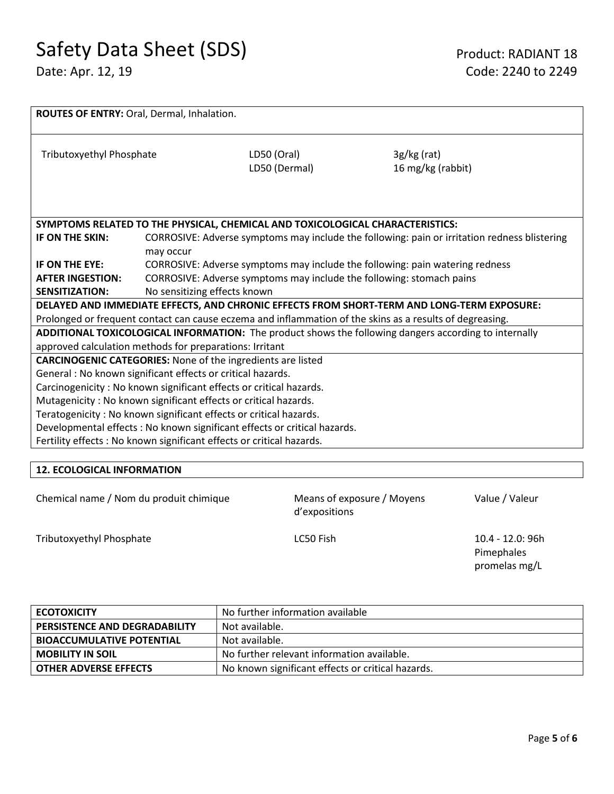| <b>ROUTES OF ENTRY: Oral, Dermal, Inhalation.</b>                                                     |                                                                                              |                                                                                                          |                                    |  |
|-------------------------------------------------------------------------------------------------------|----------------------------------------------------------------------------------------------|----------------------------------------------------------------------------------------------------------|------------------------------------|--|
| Tributoxyethyl Phosphate                                                                              |                                                                                              | LD50 (Oral)<br>LD50 (Dermal)                                                                             | $3g/kg$ (rat)<br>16 mg/kg (rabbit) |  |
|                                                                                                       |                                                                                              | SYMPTOMS RELATED TO THE PHYSICAL, CHEMICAL AND TOXICOLOGICAL CHARACTERISTICS:                            |                                    |  |
| IF ON THE SKIN:                                                                                       | CORROSIVE: Adverse symptoms may include the following: pain or irritation redness blistering |                                                                                                          |                                    |  |
|                                                                                                       | may occur                                                                                    |                                                                                                          |                                    |  |
| IF ON THE EYE:                                                                                        | CORROSIVE: Adverse symptoms may include the following: pain watering redness                 |                                                                                                          |                                    |  |
| <b>AFTER INGESTION:</b>                                                                               | CORROSIVE: Adverse symptoms may include the following: stomach pains                         |                                                                                                          |                                    |  |
| <b>SENSITIZATION:</b>                                                                                 | No sensitizing effects known                                                                 |                                                                                                          |                                    |  |
| DELAYED AND IMMEDIATE EFFECTS, AND CHRONIC EFFECTS FROM SHORT-TERM AND LONG-TERM EXPOSURE:            |                                                                                              |                                                                                                          |                                    |  |
|                                                                                                       |                                                                                              | Prolonged or frequent contact can cause eczema and inflammation of the skins as a results of degreasing. |                                    |  |
| ADDITIONAL TOXICOLOGICAL INFORMATION: The product shows the following dangers according to internally |                                                                                              |                                                                                                          |                                    |  |
| approved calculation methods for preparations: Irritant                                               |                                                                                              |                                                                                                          |                                    |  |
| <b>CARCINOGENIC CATEGORIES:</b> None of the ingredients are listed                                    |                                                                                              |                                                                                                          |                                    |  |
| General : No known significant effects or critical hazards.                                           |                                                                                              |                                                                                                          |                                    |  |
| Carcinogenicity: No known significant effects or critical hazards.                                    |                                                                                              |                                                                                                          |                                    |  |
| Mutagenicity: No known significant effects or critical hazards.                                       |                                                                                              |                                                                                                          |                                    |  |
| Teratogenicity: No known significant effects or critical hazards.                                     |                                                                                              |                                                                                                          |                                    |  |
| Developmental effects : No known significant effects or critical hazards.                             |                                                                                              |                                                                                                          |                                    |  |
| Fertility effects : No known significant effects or critical hazards.                                 |                                                                                              |                                                                                                          |                                    |  |
|                                                                                                       |                                                                                              |                                                                                                          |                                    |  |

# **12. ECOLOGICAL INFORMATION**

| Chemical name / Nom du produit chimique |  |  |  |  |
|-----------------------------------------|--|--|--|--|
|-----------------------------------------|--|--|--|--|

Means of exposure / Moyens d'expositions

Value / Valeur

Tributoxyethyl Phosphate **LC50** Fish LC50 Fish 10.4 - 12.0: 96h

Pimephales promelas mg/L

| <b>ECOTOXICITY</b>                   | No further information available                  |
|--------------------------------------|---------------------------------------------------|
| <b>PERSISTENCE AND DEGRADABILITY</b> | Not available.                                    |
| <b>BIOACCUMULATIVE POTENTIAL</b>     | Not available.                                    |
| <b>MOBILITY IN SOIL</b>              | No further relevant information available.        |
| <b>OTHER ADVERSE EFFECTS</b>         | No known significant effects or critical hazards. |